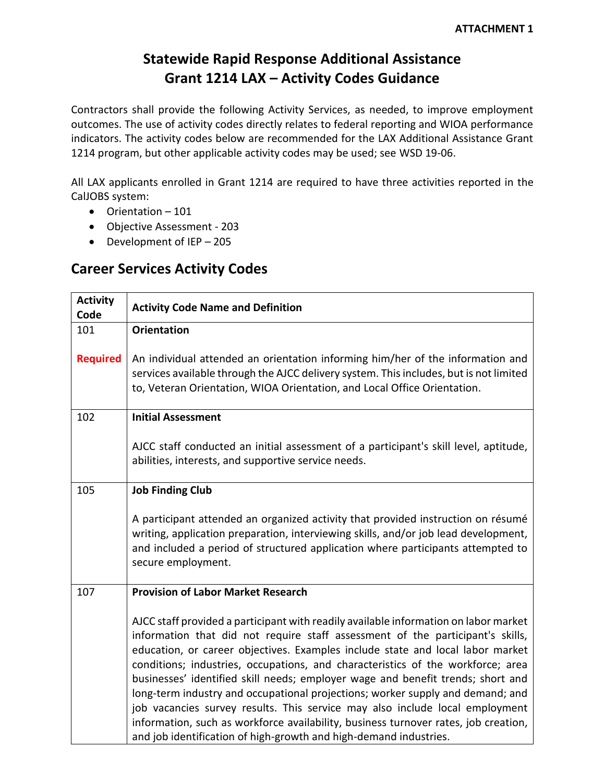## **Statewide Rapid Response Additional Assistance Grant 1214 LAX – Activity Codes Guidance**

Contractors shall provide the following Activity Services, as needed, to improve employment outcomes. The use of activity codes directly relates to federal reporting and WIOA performance indicators. The activity codes below are recommended for the LAX Additional Assistance Grant 1214 program, but other applicable activity codes may be used; see WSD 19-06.

All LAX applicants enrolled in Grant 1214 are required to have three activities reported in the CalJOBS system:

- Orientation 101
- Objective Assessment 203
- Development of IEP 205

## **Career Services Activity Codes**

| <b>Activity</b><br>Code | <b>Activity Code Name and Definition</b>                                                                                                                                                                                                                                                                                                                                                                                                                                                                                                                                                                                                                                                                                                                     |
|-------------------------|--------------------------------------------------------------------------------------------------------------------------------------------------------------------------------------------------------------------------------------------------------------------------------------------------------------------------------------------------------------------------------------------------------------------------------------------------------------------------------------------------------------------------------------------------------------------------------------------------------------------------------------------------------------------------------------------------------------------------------------------------------------|
| 101                     | <b>Orientation</b>                                                                                                                                                                                                                                                                                                                                                                                                                                                                                                                                                                                                                                                                                                                                           |
| <b>Required</b>         | An individual attended an orientation informing him/her of the information and<br>services available through the AJCC delivery system. This includes, but is not limited<br>to, Veteran Orientation, WIOA Orientation, and Local Office Orientation.                                                                                                                                                                                                                                                                                                                                                                                                                                                                                                         |
| 102                     | <b>Initial Assessment</b>                                                                                                                                                                                                                                                                                                                                                                                                                                                                                                                                                                                                                                                                                                                                    |
|                         | AJCC staff conducted an initial assessment of a participant's skill level, aptitude,<br>abilities, interests, and supportive service needs.                                                                                                                                                                                                                                                                                                                                                                                                                                                                                                                                                                                                                  |
| 105                     | <b>Job Finding Club</b>                                                                                                                                                                                                                                                                                                                                                                                                                                                                                                                                                                                                                                                                                                                                      |
|                         | A participant attended an organized activity that provided instruction on résumé<br>writing, application preparation, interviewing skills, and/or job lead development,<br>and included a period of structured application where participants attempted to<br>secure employment.                                                                                                                                                                                                                                                                                                                                                                                                                                                                             |
| 107                     | <b>Provision of Labor Market Research</b>                                                                                                                                                                                                                                                                                                                                                                                                                                                                                                                                                                                                                                                                                                                    |
|                         | AJCC staff provided a participant with readily available information on labor market<br>information that did not require staff assessment of the participant's skills,<br>education, or career objectives. Examples include state and local labor market<br>conditions; industries, occupations, and characteristics of the workforce; area<br>businesses' identified skill needs; employer wage and benefit trends; short and<br>long-term industry and occupational projections; worker supply and demand; and<br>job vacancies survey results. This service may also include local employment<br>information, such as workforce availability, business turnover rates, job creation,<br>and job identification of high-growth and high-demand industries. |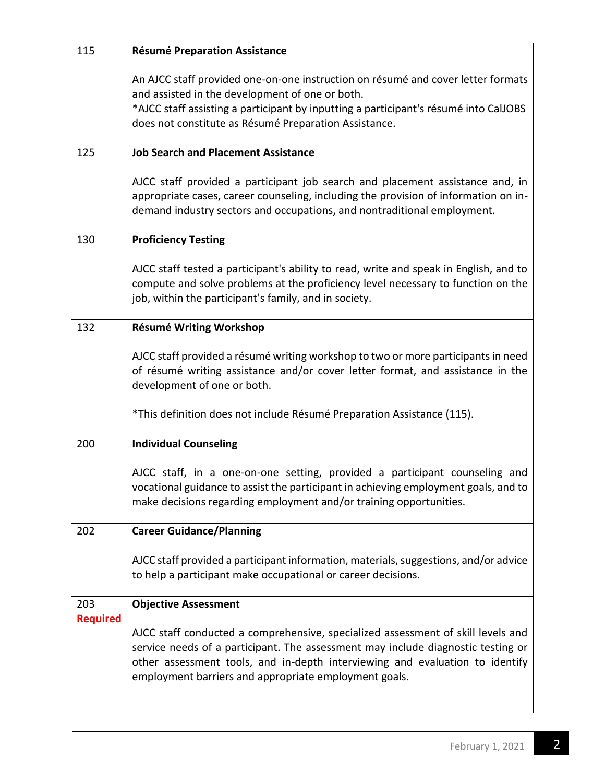| 115                    | <b>Résumé Preparation Assistance</b>                                                                                                                                                                                                                                                                          |
|------------------------|---------------------------------------------------------------------------------------------------------------------------------------------------------------------------------------------------------------------------------------------------------------------------------------------------------------|
|                        | An AJCC staff provided one-on-one instruction on résumé and cover letter formats<br>and assisted in the development of one or both.<br>*AJCC staff assisting a participant by inputting a participant's résumé into CalJOBS<br>does not constitute as Résumé Preparation Assistance.                          |
| 125                    | <b>Job Search and Placement Assistance</b>                                                                                                                                                                                                                                                                    |
|                        | AJCC staff provided a participant job search and placement assistance and, in<br>appropriate cases, career counseling, including the provision of information on in-<br>demand industry sectors and occupations, and nontraditional employment.                                                               |
| 130                    | <b>Proficiency Testing</b>                                                                                                                                                                                                                                                                                    |
|                        | AJCC staff tested a participant's ability to read, write and speak in English, and to<br>compute and solve problems at the proficiency level necessary to function on the<br>job, within the participant's family, and in society.                                                                            |
| 132                    | Résumé Writing Workshop                                                                                                                                                                                                                                                                                       |
|                        | AJCC staff provided a résumé writing workshop to two or more participants in need<br>of résumé writing assistance and/or cover letter format, and assistance in the<br>development of one or both.                                                                                                            |
|                        | *This definition does not include Résumé Preparation Assistance (115).                                                                                                                                                                                                                                        |
| 200                    | <b>Individual Counseling</b>                                                                                                                                                                                                                                                                                  |
|                        | AJCC staff, in a one-on-one setting, provided a participant counseling and<br>vocational guidance to assist the participant in achieving employment goals, and to<br>make decisions regarding employment and/or training opportunities.                                                                       |
| 202                    | <b>Career Guidance/Planning</b>                                                                                                                                                                                                                                                                               |
|                        | AJCC staff provided a participant information, materials, suggestions, and/or advice<br>to help a participant make occupational or career decisions.                                                                                                                                                          |
| 203<br><b>Required</b> | <b>Objective Assessment</b>                                                                                                                                                                                                                                                                                   |
|                        | AJCC staff conducted a comprehensive, specialized assessment of skill levels and<br>service needs of a participant. The assessment may include diagnostic testing or<br>other assessment tools, and in-depth interviewing and evaluation to identify<br>employment barriers and appropriate employment goals. |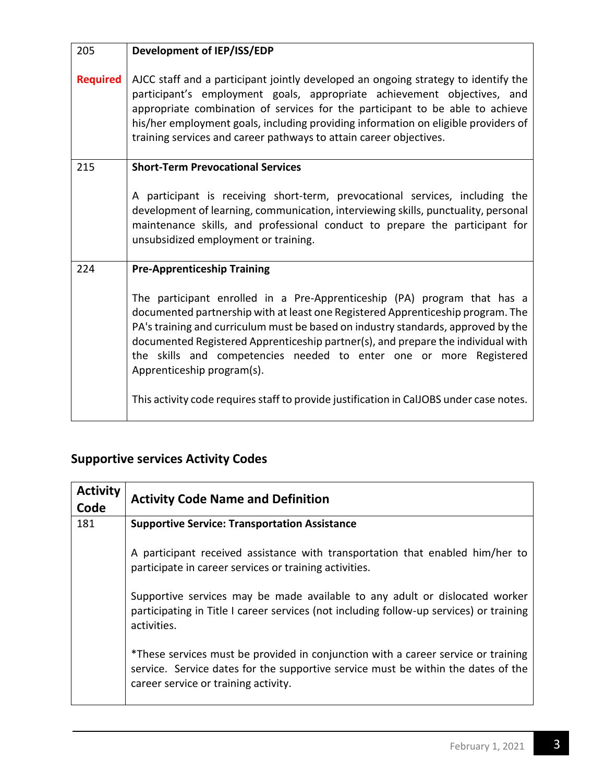| 205             | Development of IEP/ISS/EDP                                                                                                                                                                                                                                                                                                                                                                                                               |
|-----------------|------------------------------------------------------------------------------------------------------------------------------------------------------------------------------------------------------------------------------------------------------------------------------------------------------------------------------------------------------------------------------------------------------------------------------------------|
| <b>Required</b> | AJCC staff and a participant jointly developed an ongoing strategy to identify the<br>participant's employment goals, appropriate achievement objectives, and<br>appropriate combination of services for the participant to be able to achieve<br>his/her employment goals, including providing information on eligible providers of<br>training services and career pathways to attain career objectives.                               |
| 215             | <b>Short-Term Prevocational Services</b>                                                                                                                                                                                                                                                                                                                                                                                                 |
|                 | A participant is receiving short-term, prevocational services, including the<br>development of learning, communication, interviewing skills, punctuality, personal<br>maintenance skills, and professional conduct to prepare the participant for<br>unsubsidized employment or training.                                                                                                                                                |
| 224             | <b>Pre-Apprenticeship Training</b>                                                                                                                                                                                                                                                                                                                                                                                                       |
|                 | The participant enrolled in a Pre-Apprenticeship (PA) program that has a<br>documented partnership with at least one Registered Apprenticeship program. The<br>PA's training and curriculum must be based on industry standards, approved by the<br>documented Registered Apprenticeship partner(s), and prepare the individual with<br>the skills and competencies needed to enter one or more Registered<br>Apprenticeship program(s). |
|                 | This activity code requires staff to provide justification in CalJOBS under case notes.                                                                                                                                                                                                                                                                                                                                                  |

## **Supportive services Activity Codes**

| <b>Activity</b><br>Code | <b>Activity Code Name and Definition</b>                                                                                                                                                                       |
|-------------------------|----------------------------------------------------------------------------------------------------------------------------------------------------------------------------------------------------------------|
| 181                     | <b>Supportive Service: Transportation Assistance</b>                                                                                                                                                           |
|                         | A participant received assistance with transportation that enabled him/her to<br>participate in career services or training activities.                                                                        |
|                         | Supportive services may be made available to any adult or dislocated worker<br>participating in Title I career services (not including follow-up services) or training<br>activities.                          |
|                         | *These services must be provided in conjunction with a career service or training<br>service. Service dates for the supportive service must be within the dates of the<br>career service or training activity. |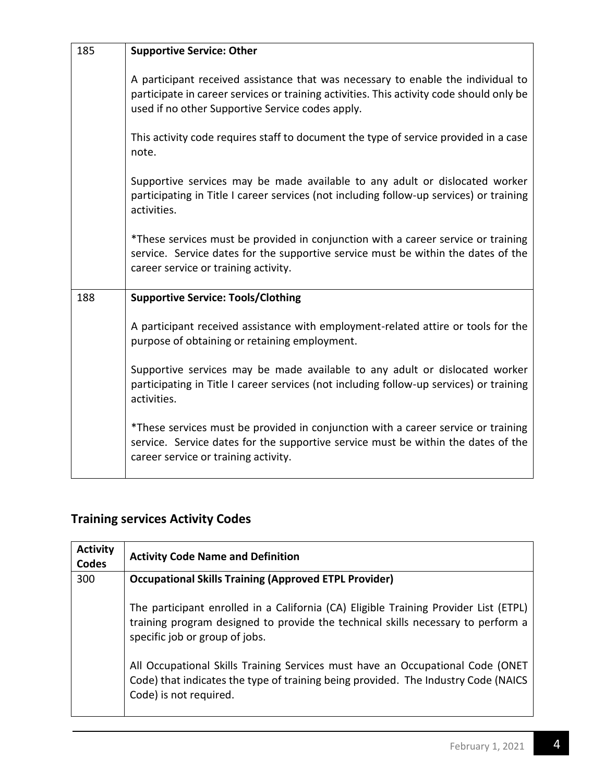| 185 | <b>Supportive Service: Other</b>                                                                                                                                                                                                 |
|-----|----------------------------------------------------------------------------------------------------------------------------------------------------------------------------------------------------------------------------------|
|     | A participant received assistance that was necessary to enable the individual to<br>participate in career services or training activities. This activity code should only be<br>used if no other Supportive Service codes apply. |
|     | This activity code requires staff to document the type of service provided in a case<br>note.                                                                                                                                    |
|     | Supportive services may be made available to any adult or dislocated worker<br>participating in Title I career services (not including follow-up services) or training<br>activities.                                            |
|     | *These services must be provided in conjunction with a career service or training<br>service. Service dates for the supportive service must be within the dates of the<br>career service or training activity.                   |
| 188 | <b>Supportive Service: Tools/Clothing</b>                                                                                                                                                                                        |
|     | A participant received assistance with employment-related attire or tools for the<br>purpose of obtaining or retaining employment.                                                                                               |
|     | Supportive services may be made available to any adult or dislocated worker<br>participating in Title I career services (not including follow-up services) or training<br>activities.                                            |
|     | *These services must be provided in conjunction with a career service or training<br>service. Service dates for the supportive service must be within the dates of the<br>career service or training activity.                   |

## **Training services Activity Codes**

| <b>Activity</b><br>Codes | <b>Activity Code Name and Definition</b>                                                                                                                                                                   |
|--------------------------|------------------------------------------------------------------------------------------------------------------------------------------------------------------------------------------------------------|
| 300                      | <b>Occupational Skills Training (Approved ETPL Provider)</b>                                                                                                                                               |
|                          | The participant enrolled in a California (CA) Eligible Training Provider List (ETPL)<br>training program designed to provide the technical skills necessary to perform a<br>specific job or group of jobs. |
|                          | All Occupational Skills Training Services must have an Occupational Code (ONET<br>Code) that indicates the type of training being provided. The Industry Code (NAICS<br>Code) is not required.             |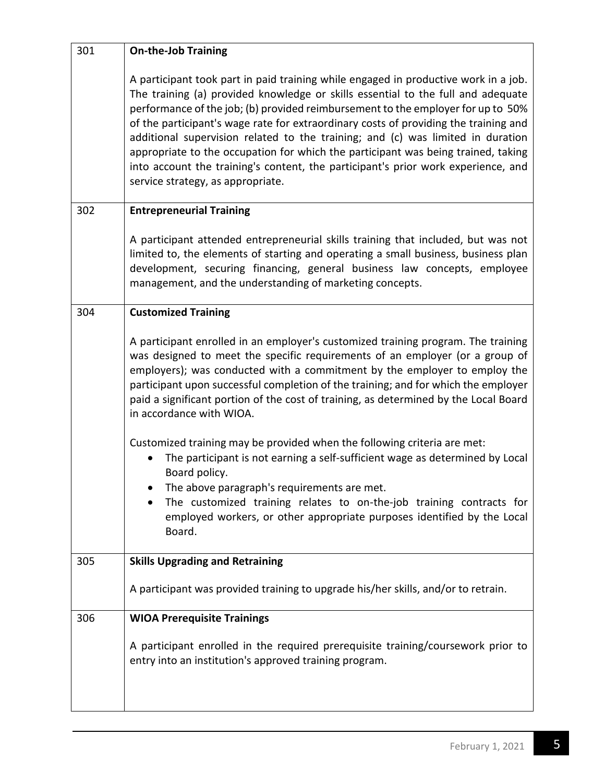| 301 | <b>On-the-Job Training</b>                                                                                                                                                                                                                                                                                                                                                                                                                                                                                                                                                                                                                            |
|-----|-------------------------------------------------------------------------------------------------------------------------------------------------------------------------------------------------------------------------------------------------------------------------------------------------------------------------------------------------------------------------------------------------------------------------------------------------------------------------------------------------------------------------------------------------------------------------------------------------------------------------------------------------------|
|     | A participant took part in paid training while engaged in productive work in a job.<br>The training (a) provided knowledge or skills essential to the full and adequate<br>performance of the job; (b) provided reimbursement to the employer for up to 50%<br>of the participant's wage rate for extraordinary costs of providing the training and<br>additional supervision related to the training; and (c) was limited in duration<br>appropriate to the occupation for which the participant was being trained, taking<br>into account the training's content, the participant's prior work experience, and<br>service strategy, as appropriate. |
| 302 | <b>Entrepreneurial Training</b>                                                                                                                                                                                                                                                                                                                                                                                                                                                                                                                                                                                                                       |
|     | A participant attended entrepreneurial skills training that included, but was not<br>limited to, the elements of starting and operating a small business, business plan<br>development, securing financing, general business law concepts, employee<br>management, and the understanding of marketing concepts.                                                                                                                                                                                                                                                                                                                                       |
| 304 | <b>Customized Training</b>                                                                                                                                                                                                                                                                                                                                                                                                                                                                                                                                                                                                                            |
|     | A participant enrolled in an employer's customized training program. The training<br>was designed to meet the specific requirements of an employer (or a group of<br>employers); was conducted with a commitment by the employer to employ the<br>participant upon successful completion of the training; and for which the employer<br>paid a significant portion of the cost of training, as determined by the Local Board<br>in accordance with WIOA.                                                                                                                                                                                              |
|     | Customized training may be provided when the following criteria are met:<br>The participant is not earning a self-sufficient wage as determined by Local<br>Board policy.<br>The above paragraph's requirements are met.<br>The customized training relates to on-the-job training contracts for<br>employed workers, or other appropriate purposes identified by the Local<br>Board.                                                                                                                                                                                                                                                                 |
| 305 | <b>Skills Upgrading and Retraining</b>                                                                                                                                                                                                                                                                                                                                                                                                                                                                                                                                                                                                                |
|     | A participant was provided training to upgrade his/her skills, and/or to retrain.                                                                                                                                                                                                                                                                                                                                                                                                                                                                                                                                                                     |
| 306 | <b>WIOA Prerequisite Trainings</b>                                                                                                                                                                                                                                                                                                                                                                                                                                                                                                                                                                                                                    |
|     | A participant enrolled in the required prerequisite training/coursework prior to<br>entry into an institution's approved training program.                                                                                                                                                                                                                                                                                                                                                                                                                                                                                                            |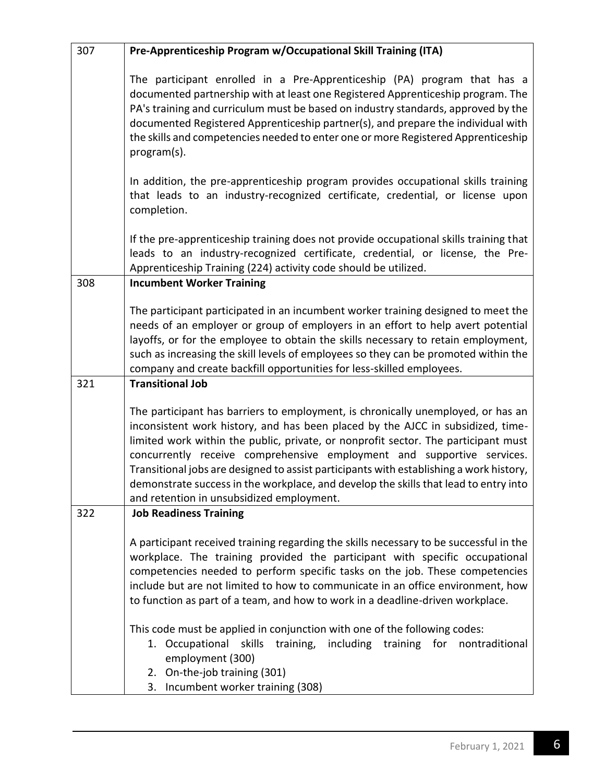| 307 | Pre-Apprenticeship Program w/Occupational Skill Training (ITA)                                                                                                                                                                                                                                                                                                                                                                                                                                                                                                      |
|-----|---------------------------------------------------------------------------------------------------------------------------------------------------------------------------------------------------------------------------------------------------------------------------------------------------------------------------------------------------------------------------------------------------------------------------------------------------------------------------------------------------------------------------------------------------------------------|
|     | The participant enrolled in a Pre-Apprenticeship (PA) program that has a<br>documented partnership with at least one Registered Apprenticeship program. The<br>PA's training and curriculum must be based on industry standards, approved by the<br>documented Registered Apprenticeship partner(s), and prepare the individual with<br>the skills and competencies needed to enter one or more Registered Apprenticeship<br>program(s).                                                                                                                            |
|     | In addition, the pre-apprenticeship program provides occupational skills training<br>that leads to an industry-recognized certificate, credential, or license upon<br>completion.                                                                                                                                                                                                                                                                                                                                                                                   |
|     | If the pre-apprenticeship training does not provide occupational skills training that<br>leads to an industry-recognized certificate, credential, or license, the Pre-<br>Apprenticeship Training (224) activity code should be utilized.                                                                                                                                                                                                                                                                                                                           |
| 308 | <b>Incumbent Worker Training</b>                                                                                                                                                                                                                                                                                                                                                                                                                                                                                                                                    |
|     | The participant participated in an incumbent worker training designed to meet the<br>needs of an employer or group of employers in an effort to help avert potential<br>layoffs, or for the employee to obtain the skills necessary to retain employment,<br>such as increasing the skill levels of employees so they can be promoted within the<br>company and create backfill opportunities for less-skilled employees.                                                                                                                                           |
| 321 | <b>Transitional Job</b>                                                                                                                                                                                                                                                                                                                                                                                                                                                                                                                                             |
|     | The participant has barriers to employment, is chronically unemployed, or has an<br>inconsistent work history, and has been placed by the AJCC in subsidized, time-<br>limited work within the public, private, or nonprofit sector. The participant must<br>concurrently receive comprehensive employment and supportive services.<br>Transitional jobs are designed to assist participants with establishing a work history,<br>demonstrate success in the workplace, and develop the skills that lead to entry into<br>and retention in unsubsidized employment. |
| 322 | <b>Job Readiness Training</b>                                                                                                                                                                                                                                                                                                                                                                                                                                                                                                                                       |
|     | A participant received training regarding the skills necessary to be successful in the<br>workplace. The training provided the participant with specific occupational<br>competencies needed to perform specific tasks on the job. These competencies<br>include but are not limited to how to communicate in an office environment, how<br>to function as part of a team, and how to work in a deadline-driven workplace.                                                                                                                                          |
|     | This code must be applied in conjunction with one of the following codes:                                                                                                                                                                                                                                                                                                                                                                                                                                                                                           |
|     | including training for<br>1. Occupational<br>skills training,<br>nontraditional<br>employment (300)                                                                                                                                                                                                                                                                                                                                                                                                                                                                 |
|     | 2. On-the-job training (301)                                                                                                                                                                                                                                                                                                                                                                                                                                                                                                                                        |
|     | 3. Incumbent worker training (308)                                                                                                                                                                                                                                                                                                                                                                                                                                                                                                                                  |